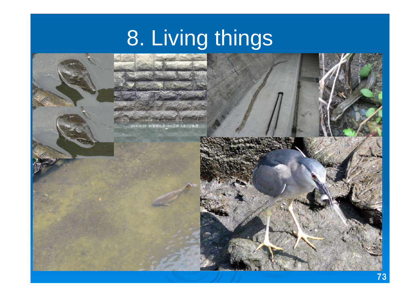# 8. Living things

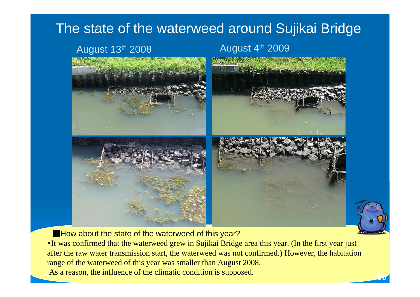## The state of the waterweed around Sujikai Bridge

### August 13<sup>th</sup> 2008 **August 4<sup>th</sup> 2009**

85



**EXTERN** How about the state of the waterweed of this year?

・It was confirmed that the waterweed grew in Sujikai Bridge area this year. (In the first year just after the raw water transmission start, the waterweed was not confirmed.) However, the habitation range of the waterweed of this year was smaller than August 2008. As a reason, the influence of the climatic condition is supposed.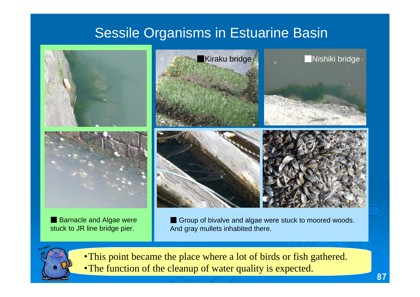# Sessile Organisms in Estuarine Basin



■ Barnacle and Algae were stuck to JR line bridge pier.

■ Group of bivalve and algae were stuck to moored woods. And gray mullets inhabited there.



・This point became the place where a lot of birds or fish gathered. ・The function of the cleanup of water quality is expected.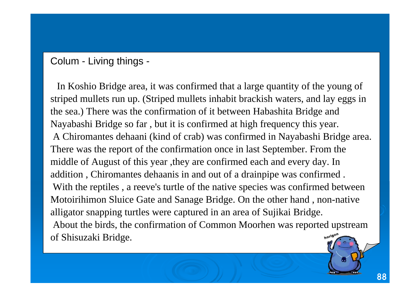### Colum - Living things -

In Koshio Bridge area, it was confirmed that a large quantity of the young of striped mullets run up. (Striped mullets inhabit brackish waters, and lay eggs in the sea.) There was the confirmation of it between Habashita Bridge and Nayabashi Bridge so far , but it is confirmed at high frequency this year. A Chiromantes dehaani (kind of crab) was confirmed in Nayabashi Bridge area. There was the report of the confirmation once in last September. From the middle of August of this year ,they are confirmed each and every day. In addition , Chiromantes dehaanis in and out of a drainpipe was confirmed . With the reptiles , a reeve's turtle of the native species was confirmed between Motoirihimon Sluice Gate and Sanage Bridge. On the other hand , non-native alligator snapping turtles were captured in an area of Sujikai Bridge. About the birds, the confirmation of Common Moorhen was reported upstream of Shisuzaki Bridge. horigon